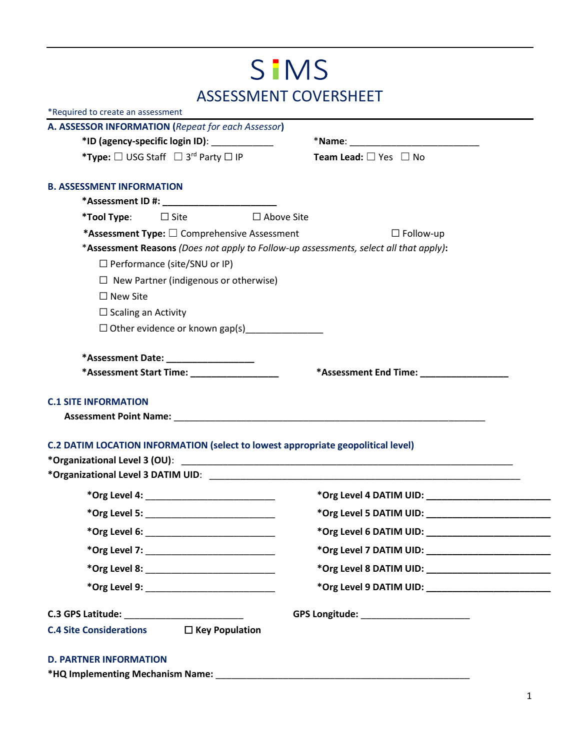## SIMS ASSESSMENT COVERSHEET

|                                                                                 | A. ASSESSOR INFORMATION (Repeat for each Assessor)    |                                                                                                                                                                                                            |  |
|---------------------------------------------------------------------------------|-------------------------------------------------------|------------------------------------------------------------------------------------------------------------------------------------------------------------------------------------------------------------|--|
| *ID (agency-specific login ID):                                                 |                                                       |                                                                                                                                                                                                            |  |
|                                                                                 | *Type: $□$ USG Staff $□$ 3 <sup>rd</sup> Party $□$ IP | <b>Team Lead:</b> $\Box$ Yes $\Box$ No                                                                                                                                                                     |  |
| <b>B. ASSESSMENT INFORMATION</b>                                                |                                                       |                                                                                                                                                                                                            |  |
|                                                                                 |                                                       |                                                                                                                                                                                                            |  |
|                                                                                 | * <b>Tool Type:</b> $\Box$ Site $\Box$ Above Site     |                                                                                                                                                                                                            |  |
|                                                                                 | *Assessment Type: $\square$ Comprehensive Assessment  | $\Box$ Follow-up                                                                                                                                                                                           |  |
|                                                                                 |                                                       | *Assessment Reasons (Does not apply to Follow-up assessments, select all that apply):                                                                                                                      |  |
|                                                                                 | $\Box$ Performance (site/SNU or IP)                   |                                                                                                                                                                                                            |  |
|                                                                                 | $\Box$ New Partner (indigenous or otherwise)          |                                                                                                                                                                                                            |  |
| $\Box$ New Site                                                                 |                                                       |                                                                                                                                                                                                            |  |
| $\Box$ Scaling an Activity                                                      |                                                       |                                                                                                                                                                                                            |  |
|                                                                                 |                                                       |                                                                                                                                                                                                            |  |
|                                                                                 | *Assessment Date: __________________                  |                                                                                                                                                                                                            |  |
|                                                                                 | *Assessment Start Time: ___________________           | *Assessment End Time: ___________________                                                                                                                                                                  |  |
|                                                                                 |                                                       |                                                                                                                                                                                                            |  |
|                                                                                 |                                                       | Assessment Point Name: Name and Assessment Point Name: Name and Assessment Point Name and Assessment Point Name<br><b>C.2 DATIM LOCATION INFORMATION (select to lowest appropriate geopolitical level)</b> |  |
|                                                                                 |                                                       |                                                                                                                                                                                                            |  |
|                                                                                 |                                                       |                                                                                                                                                                                                            |  |
|                                                                                 | *Org Level 4: ______________________________          |                                                                                                                                                                                                            |  |
|                                                                                 |                                                       |                                                                                                                                                                                                            |  |
| *Org Level 6: ___________                                                       |                                                       |                                                                                                                                                                                                            |  |
|                                                                                 | *Org Level 7: _____________________________           |                                                                                                                                                                                                            |  |
|                                                                                 |                                                       |                                                                                                                                                                                                            |  |
|                                                                                 | *Org Level 9: _______________________________         |                                                                                                                                                                                                            |  |
| <b>C.1 SITE INFORMATION</b><br>C.3 GPS Latitude: ______________________________ |                                                       | GPS Longitude: __________________________                                                                                                                                                                  |  |